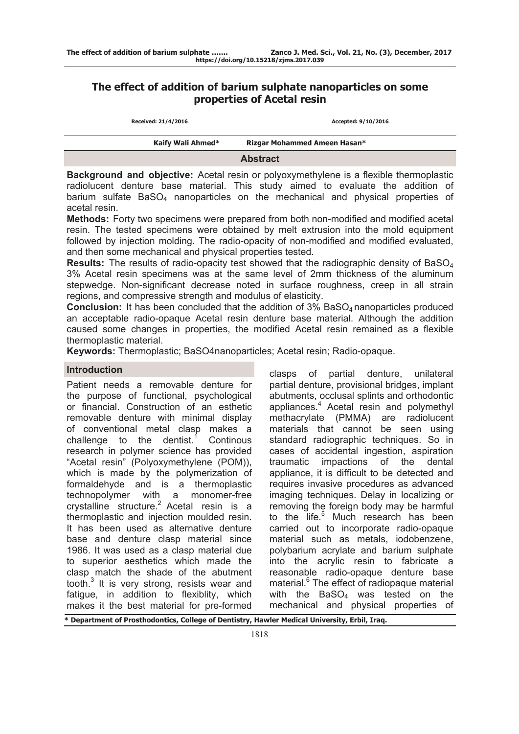# **The effect of addition of barium sulphate nanoparticles on some properties of Acetal resin**

| Received: 21/4/2016 | Accepted: 9/10/2016          |
|---------------------|------------------------------|
| Kaify Wali Ahmed*   | Rizgar Mohammed Ameen Hasan* |
|                     | <b>Abstract</b>              |

**Background and objective:** Acetal resin or polyoxymethylene is a flexible thermoplastic radiolucent denture base material. This study aimed to evaluate the addition of barium sulfate  $BaSO<sub>4</sub>$  nanoparticles on the mechanical and physical properties of acetal resin.

**Methods:** Forty two specimens were prepared from both non-modified and modified acetal resin. The tested specimens were obtained by melt extrusion into the mold equipment followed by injection molding. The radio-opacity of non-modified and modified evaluated, and then some mechanical and physical properties tested.

**Results:** The results of radio-opacity test showed that the radiographic density of BaSO<sub>4</sub> 3% Acetal resin specimens was at the same level of 2mm thickness of the aluminum stepwedge. Non-significant decrease noted in surface roughness, creep in all strain regions, and compressive strength and modulus of elasticity.

**Conclusion:** It has been concluded that the addition of 3% BaSO<sub>4</sub> nanoparticles produced an acceptable radio-opaque Acetal resin denture base material. Although the addition caused some changes in properties, the modified Acetal resin remained as a flexible thermoplastic material.

**Keywords:** Thermoplastic; BaSO4nanoparticles; Acetal resin; Radio-opaque.

## **Introduction**

Patient needs a removable denture for the purpose of functional, psychological or financial. Construction of an esthetic removable denture with minimal display of conventional metal clasp makes a challenge to the dentist. **Continous** research in polymer science has provided "Acetal resin" (Polyoxymethylene (POM)), which is made by the polymerization of formaldehyde and is a thermoplastic technopolymer with a monomer-free crystalline structure.<sup>2</sup> Acetal resin is a thermoplastic and injection moulded resin. It has been used as alternative denture base and denture clasp material since 1986. It was used as a clasp material due to superior aesthetics which made the clasp match the shade of the abutment tooth.<sup>3</sup> It is very strong, resists wear and fatigue, in addition to flexiblity, which makes it the best material for pre-formed

clasps of partial denture, unilateral partial denture, provisional bridges, implant abutments, occlusal splints and orthodontic appliances.<sup>4</sup> Acetal resin and polymethyl methacrylate (PMMA) are radiolucent materials that cannot be seen using standard radiographic techniques. So in cases of accidental ingestion, aspiration traumatic impactions of the dental appliance, it is difficult to be detected and requires invasive procedures as advanced imaging techniques. Delay in localizing or removing the foreign body may be harmful to the life.<sup>5</sup> Much research has been carried out to incorporate radio-opaque material such as metals, iodobenzene, polybarium acrylate and barium sulphate into the acrylic resin to fabricate a reasonable radio-opaque denture base material.<sup>6</sup> The effect of radiopaque material with the  $BaSO<sub>4</sub>$  was tested on the mechanical and physical properties of

**\* Department of Prosthodontics, College of Dentistry, Hawler Medical University, Erbil, Iraq.**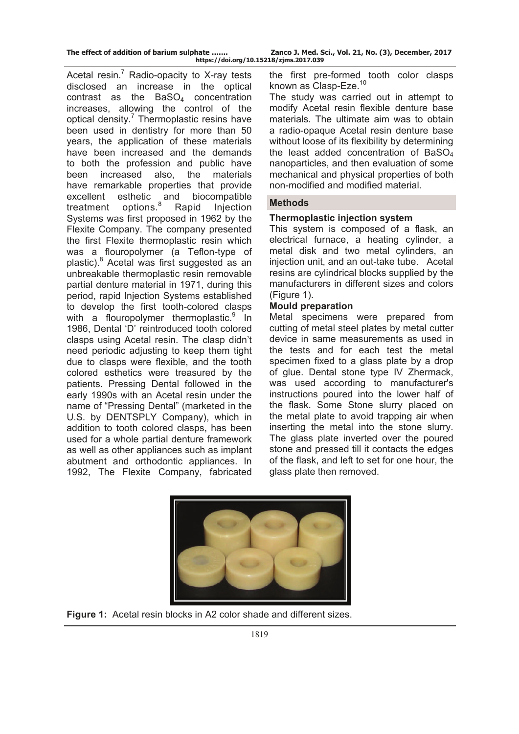|  | The effect of addition of barium sulphate |  |  |  |
|--|-------------------------------------------|--|--|--|
|  |                                           |  |  |  |

Acetal resin.<sup>7</sup> Radio-opacity to X-ray tests disclosed an increase in the optical contrast as the  $BaSO<sub>4</sub>$  concentration increases, allowing the control of the optical density.<sup>7</sup> Thermoplastic resins have been used in dentistry for more than 50 years, the application of these materials have been increased and the demands to both the profession and public have been increased also, the materials have remarkable properties that provide excellent esthetic and biocompatible treatment options.<sup>8</sup> Rapid Injection Systems was first proposed in 1962 by the Flexite Company. The company presented the first Flexite thermoplastic resin which was a flouropolymer (a Teflon-type of plastic).<sup>8</sup> Acetal was first suggested as an unbreakable thermoplastic resin removable partial denture material in 1971, during this period, rapid Injection Systems established to develop the first tooth-colored clasps with a flouropolymer thermoplastic.<sup>9</sup> In 1986, Dental 'D' reintroduced tooth colored clasps using Acetal resin. The clasp didn't need periodic adjusting to keep them tight due to clasps were flexible, and the tooth colored esthetics were treasured by the patients. Pressing Dental followed in the early 1990s with an Acetal resin under the name of "Pressing Dental" (marketed in the U.S. by DENTSPLY Company), which in addition to tooth colored clasps, has been used for a whole partial denture framework as well as other appliances such as implant abutment and orthodontic appliances. In 1992, The Flexite Company, fabricated

the first pre-formed tooth color clasps known as Clasp-Eze.<sup>10</sup>

The study was carried out in attempt to modify Acetal resin flexible denture base materials. The ultimate aim was to obtain a radio-opaque Acetal resin denture base without loose of its flexibility by determining the least added concentration of  $BaSO<sub>4</sub>$ nanoparticles, and then evaluation of some mechanical and physical properties of both non-modified and modified material.

## **Methods**

# **Thermoplastic injection system**

This system is composed of a flask, an electrical furnace, a heating cylinder, a metal disk and two metal cylinders, an injection unit, and an out-take tube. Acetal resins are cylindrical blocks supplied by the manufacturers in different sizes and colors (Figure 1).

## **Mould preparation**

Metal specimens were prepared from cutting of metal steel plates by metal cutter device in same measurements as used in the tests and for each test the metal specimen fixed to a glass plate by a drop of glue. Dental stone type IV Zhermack, was used according to manufacturer's instructions poured into the lower half of the flask. Some Stone slurry placed on the metal plate to avoid trapping air when inserting the metal into the stone slurry. The glass plate inverted over the poured stone and pressed till it contacts the edges of the flask, and left to set for one hour, the glass plate then removed.



**Figure 1:** Acetal resin blocks in A2 color shade and different sizes.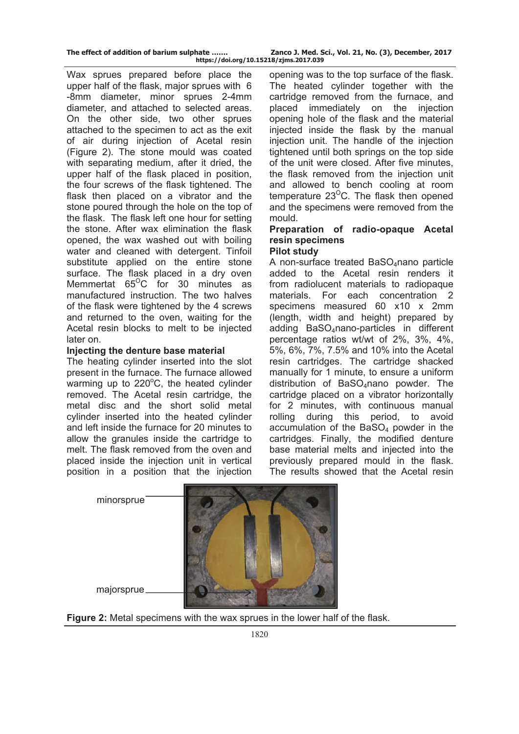Wax sprues prepared before place the upper half of the flask, major sprues with 6 -8mm diameter, minor sprues 2-4mm diameter, and attached to selected areas. On the other side, two other sprues attached to the specimen to act as the exit of air during injection of Acetal resin (Figure 2). The stone mould was coated with separating medium, after it dried, the upper half of the flask placed in position, the four screws of the flask tightened. The flask then placed on a vibrator and the stone poured through the hole on the top of the flask. The flask left one hour for setting the stone. After wax elimination the flask opened, the wax washed out with boiling water and cleaned with detergent. Tinfoil substitute applied on the entire stone surface. The flask placed in a dry oven Memmertat  $65^{\circ}$ C for 30 minutes as manufactured instruction. The two halves of the flask were tightened by the 4 screws and returned to the oven, waiting for the Acetal resin blocks to melt to be injected later on.

## **Injecting the denture base material**

The heating cylinder inserted into the slot present in the furnace. The furnace allowed warming up to 220°C, the heated cylinder removed. The Acetal resin cartridge, the metal disc and the short solid metal cylinder inserted into the heated cylinder and left inside the furnace for 20 minutes to allow the granules inside the cartridge to melt. The flask removed from the oven and placed inside the injection unit in vertical position in a position that the injection

opening was to the top surface of the flask. The heated cylinder together with the cartridge removed from the furnace, and placed immediately on the injection opening hole of the flask and the material injected inside the flask by the manual injection unit. The handle of the injection tightened until both springs on the top side of the unit were closed. After five minutes, the flask removed from the injection unit and allowed to bench cooling at room temperature  $23^{\circ}$ C. The flask then opened and the specimens were removed from the mould.

# **Preparation of radio-opaque Acetal resin specimens**

## **Pilot study**

A non-surface treated BaSO<sub>4</sub>nano particle added to the Acetal resin renders it from radiolucent materials to radiopaque materials. For each concentration 2 specimens measured 60 x10 x 2mm (length, width and height) prepared by adding BaSO<sub>4</sub>nano-particles in different percentage ratios wt/wt of 2%, 3%, 4%, 5%, 6%, 7%, 7.5% and 10% into the Acetal resin cartridges. The cartridge shacked manually for 1 minute, to ensure a uniform distribution of BaSO<sub>4</sub>nano powder. The cartridge placed on a vibrator horizontally for 2 minutes, with continuous manual rolling during this period, to avoid accumulation of the  $BaSO<sub>4</sub>$  powder in the cartridges. Finally, the modified denture base material melts and injected into the previously prepared mould in the flask. The results showed that the Acetal resin



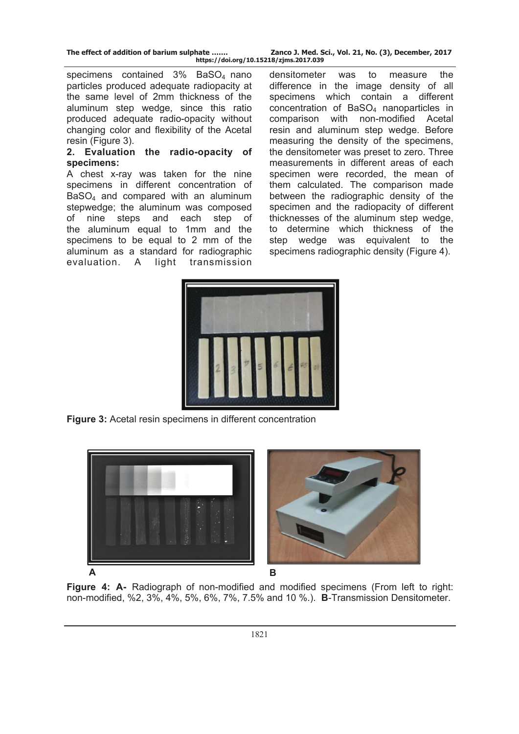specimens contained 3% BaSO<sub>4</sub> nano particles produced adequate radiopacity at the same level of 2mm thickness of the aluminum step wedge, since this ratio produced adequate radio-opacity without changing color and flexibility of the Acetal resin (Figure 3).

#### **2. Evaluation the radio-opacity of specimens:**

A chest x-ray was taken for the nine specimens in different concentration of BaSO<sub>4</sub> and compared with an aluminum stepwedge; the aluminum was composed of nine steps and each step of the aluminum equal to 1mm and the specimens to be equal to 2 mm of the aluminum as a standard for radiographic evaluation. A light transmission

densitometer was to measure the difference in the image density of all specimens which contain a different concentration of BaSO<sub>4</sub> nanoparticles in comparison with non-modified Acetal resin and aluminum step wedge. Before measuring the density of the specimens, the densitometer was preset to zero. Three measurements in different areas of each specimen were recorded, the mean of them calculated. The comparison made between the radiographic density of the specimen and the radiopacity of different thicknesses of the aluminum step wedge, to determine which thickness of the step wedge was equivalent to the specimens radiographic density (Figure 4).



**Figure 3:** Acetal resin specimens in different concentration





**Figure 4: A-** Radiograph of non-modified and modified specimens (From left to right: non-modified, %2, 3%, 4%, 5%, 6%, 7%, 7.5% and 10 %.). **B**-Transmission Densitometer.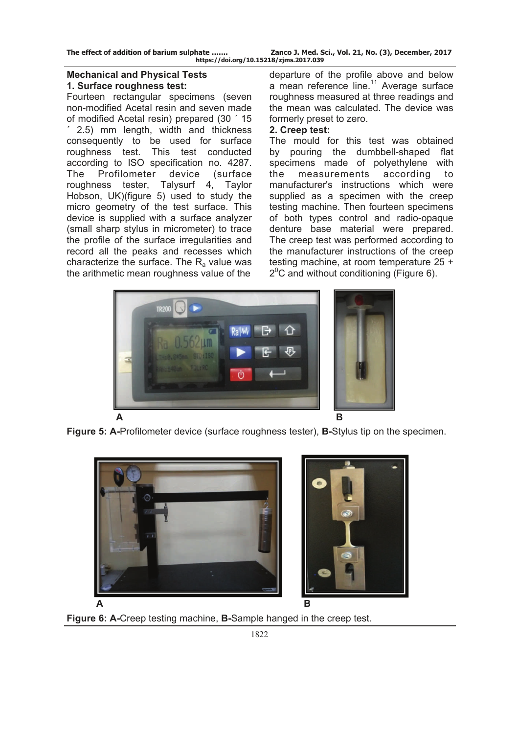## **Mechanical and Physical Tests 1. Surface roughness test:**

Fourteen rectangular specimens (seven non-modified Acetal resin and seven made of modified Acetal resin) prepared (30 ´ 15 ´ 2.5) mm length, width and thickness consequently to be used for surface roughness test. This test conducted according to ISO specification no. 4287. The Profilometer device (surface roughness tester, Talysurf 4, Taylor Hobson, UK)(figure 5) used to study the micro geometry of the test surface. This device is supplied with a surface analyzer (small sharp stylus in micrometer) to trace the profile of the surface irregularities and record all the peaks and recesses which characterize the surface. The  $R_a$  value was the arithmetic mean roughness value of the

departure of the profile above and below a mean reference line.<sup>11</sup> Average surface roughness measured at three readings and the mean was calculated. The device was formerly preset to zero.

## **2. Creep test:**

The mould for this test was obtained by pouring the dumbbell-shaped flat specimens made of polyethylene with the measurements according to manufacturer's instructions which were supplied as a specimen with the creep testing machine. Then fourteen specimens of both types control and radio-opaque denture base material were prepared. The creep test was performed according to the manufacturer instructions of the creep testing machine, at room temperature 25 + 20 C and without conditioning (Figure 6).



**Figure 5: A-**Profilometer device (surface roughness tester), **B-**Stylus tip on the specimen.



**Figure 6: A-**Creep testing machine, **B-**Sample hanged in the creep test.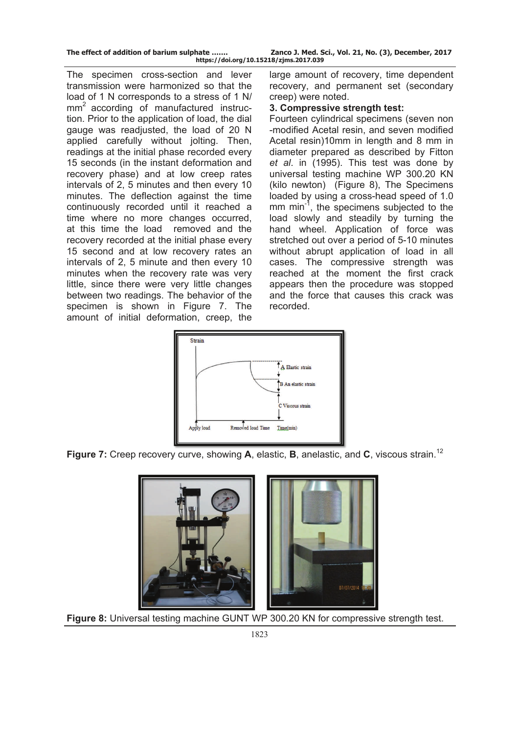| The effect of addition of barium sulphate |
|-------------------------------------------|
|-------------------------------------------|

The specimen cross-section and lever transmission were harmonized so that the load of 1 N corresponds to a stress of 1 N/ mm<sup>2</sup> according of manufactured instruction. Prior to the application of load, the dial gauge was readjusted, the load of 20 N applied carefully without jolting. Then, readings at the initial phase recorded every 15 seconds (in the instant deformation and recovery phase) and at low creep rates intervals of 2, 5 minutes and then every 10 minutes. The deflection against the time continuously recorded until it reached a time where no more changes occurred, at this time the load removed and the recovery recorded at the initial phase every 15 second and at low recovery rates an intervals of 2, 5 minute and then every 10 minutes when the recovery rate was very little, since there were very little changes between two readings. The behavior of the specimen is shown in Figure 7. The amount of initial deformation, creep, the

large amount of recovery, time dependent recovery, and permanent set (secondary creep) were noted.

## **3. Compressive strength test:**

Fourteen cylindrical specimens (seven non -modified Acetal resin, and seven modified Acetal resin)10mm in length and 8 mm in diameter prepared as described by Fitton *et al*. in (1995). This test was done by universal testing machine WP 300.20 KN (kilo newton) (Figure 8), The Specimens loaded by using a cross-head speed of 1.0 mm min<sup>-1</sup>, the specimens subjected to the load slowly and steadily by turning the hand wheel. Application of force was stretched out over a period of 5-10 minutes without abrupt application of load in all cases. The compressive strength was reached at the moment the first crack appears then the procedure was stopped and the force that causes this crack was recorded.



**Figure 7:** Creep recovery curve, showing **A**, elastic, **B**, anelastic, and **C**, viscous strain.<sup>12</sup>



**Figure 8:** Universal testing machine GUNT WP 300.20 KN for compressive strength test.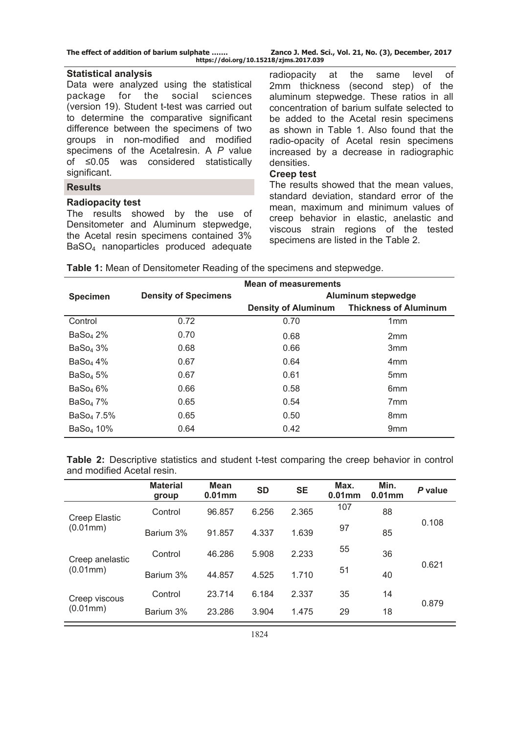| The effect of addition of barium sulphate |  |  |  |  |  |  |  |  |
|-------------------------------------------|--|--|--|--|--|--|--|--|
|-------------------------------------------|--|--|--|--|--|--|--|--|

Zanco J. Med. Sci., Vol. 21, No. (3), December, 2017 **https://doi.org/10.15218/zjms.2017.039**

#### **Statistical analysis**

Data were analyzed using the statistical package for the social sciences (version 19). Student t-test was carried out to determine the comparative significant difference between the specimens of two groups in non-modified and modified specimens of the Acetalresin. A *P* value of ≤0.05 was considered statistically significant.

## **Results**

## **Radiopacity test**

The results showed by the use of Densitometer and Aluminum stepwedge, the Acetal resin specimens contained 3% BaSO4 nanoparticles produced adequate

radiopacity at the same level of 2mm thickness (second step) of the aluminum stepwedge. These ratios in all concentration of barium sulfate selected to be added to the Acetal resin specimens as shown in Table 1. Also found that the radio-opacity of Acetal resin specimens increased by a decrease in radiographic densities.

## **Creep test**

The results showed that the mean values, standard deviation, standard error of the mean, maximum and minimum values of creep behavior in elastic, anelastic and viscous strain regions of the tested specimens are listed in the Table 2.

| <b>Density of Specimens</b> | Aluminum stepwedge         |                              |  |  |  |  |
|-----------------------------|----------------------------|------------------------------|--|--|--|--|
|                             | <b>Density of Aluminum</b> | <b>Thickness of Aluminum</b> |  |  |  |  |
| 0.72                        | 0.70                       | 1mm                          |  |  |  |  |
| 0.70                        | 0.68                       | 2 <sub>mm</sub>              |  |  |  |  |
| 0.68                        | 0.66                       | 3 <sub>mm</sub>              |  |  |  |  |
| 0.67                        | 0.64                       | 4 <sub>mm</sub>              |  |  |  |  |
| 0.67                        | 0.61                       | 5 <sub>mm</sub>              |  |  |  |  |
| 0.66                        | 0.58                       | 6 <sub>mm</sub>              |  |  |  |  |
| 0.65                        | 0.54                       | 7 <sub>mm</sub>              |  |  |  |  |
| 0.65                        | 0.50                       | 8mm                          |  |  |  |  |
| 0.64                        | 0.42                       | 9 <sub>mm</sub>              |  |  |  |  |
|                             |                            | <b>Mean of measurements</b>  |  |  |  |  |

**Table 1:** Mean of Densitometer Reading of the specimens and stepwedge.

**Table 2:** Descriptive statistics and student t-test comparing the creep behavior in control and modified Acetal resin.

|                             | <b>Material</b><br>group | <b>Mean</b><br>$0.01$ mm | <b>SD</b> | <b>SE</b> | Max.<br>$0.01$ <sub>mm</sub> | Min.<br>$0.01$ <sub>mm</sub> | P value |
|-----------------------------|--------------------------|--------------------------|-----------|-----------|------------------------------|------------------------------|---------|
| Creep Elastic<br>(0.01mm)   | Control                  | 96.857                   | 6.256     | 2.365     | 107                          | 88                           |         |
|                             | Barium 3%                | 91.857                   | 4.337     | 1.639     | 97                           | 85                           | 0.108   |
| Creep anelastic<br>(0.01mm) | Control                  | 46.286                   | 5.908     | 2.233     | 55                           | 36                           |         |
|                             | Barium 3%                | 44.857                   | 4.525     | 1.710     | 51                           | 40                           | 0.621   |
| Creep viscous<br>(0.01mm)   | Control                  | 23.714                   | 6.184     | 2.337     | 35                           | 14                           | 0.879   |
|                             | Barium 3%                | 23.286                   | 3.904     | 1.475     | 29                           | 18                           |         |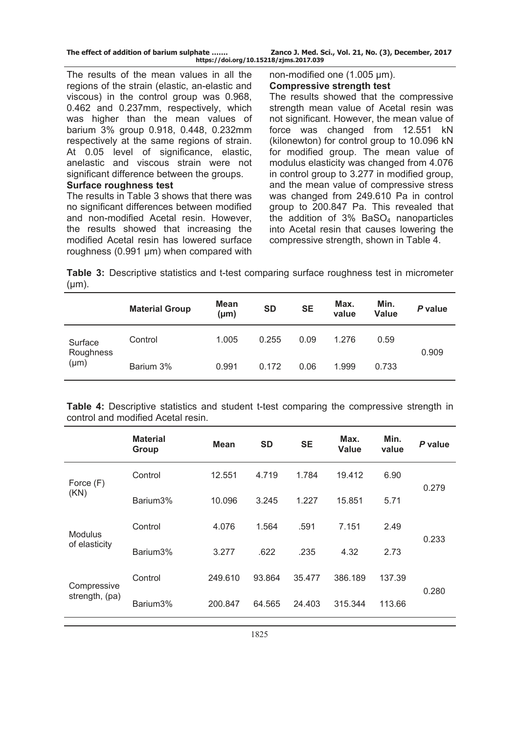|  |  |  |  |  |  | The effect of addition of barium sulphate |  |
|--|--|--|--|--|--|-------------------------------------------|--|
|--|--|--|--|--|--|-------------------------------------------|--|

The results of the mean values in all the regions of the strain (elastic, an-elastic and viscous) in the control group was 0.968, 0.462 and 0.237mm, respectively, which was higher than the mean values of barium 3% group 0.918, 0.448, 0.232mm respectively at the same regions of strain. At 0.05 level of significance, elastic, anelastic and viscous strain were not significant difference between the groups.

#### **Surface roughness test**

The results in Table 3 shows that there was no significant differences between modified and non-modified Acetal resin. However, the results showed that increasing the modified Acetal resin has lowered surface roughness (0.991 µm) when compared with non-modified one (1.005 µm). **Compressive strength test** 

The results showed that the compressive strength mean value of Acetal resin was not significant. However, the mean value of force was changed from 12.551 kN (kilonewton) for control group to 10.096 kN for modified group. The mean value of modulus elasticity was changed from 4.076 in control group to 3.277 in modified group, and the mean value of compressive stress was changed from 249.610 Pa in control group to 200.847 Pa. This revealed that the addition of  $3\%$  BaSO<sub>4</sub> nanoparticles into Acetal resin that causes lowering the compressive strength, shown in Table 4.

**Table 3:** Descriptive statistics and t-test comparing surface roughness test in micrometer  $(\mu m)$ .

|                                   | <b>Material Group</b> | <b>Mean</b><br>$(\mu m)$ | <b>SD</b> | <b>SE</b> | Max.<br>value | Min.<br><b>Value</b> | P value |
|-----------------------------------|-----------------------|--------------------------|-----------|-----------|---------------|----------------------|---------|
| Surface<br>Roughness<br>$(\mu m)$ | Control               | 1.005                    | 0.255     | 0.09      | 1.276         | 0.59                 | 0.909   |
|                                   | Barium 3%             | 0.991                    | 0.172     | 0.06      | 1.999         | 0.733                |         |

**Table 4:** Descriptive statistics and student t-test comparing the compressive strength in control and modified Acetal resin.

|                               | <b>Material</b><br>Group | <b>Mean</b> | <b>SD</b> | <b>SE</b> | Max.<br><b>Value</b> | Min.<br>value | P value |  |
|-------------------------------|--------------------------|-------------|-----------|-----------|----------------------|---------------|---------|--|
| Force (F)<br>(KN)             | Control                  | 12.551      | 4.719     | 1.784     | 19.412               | 6.90          |         |  |
|                               | Barium <sub>3</sub> %    | 10.096      | 3.245     | 1.227     | 15.851               | 5.71          | 0.279   |  |
| Modulus<br>of elasticity      | Control                  | 4.076       | 1.564     | .591      | 7.151                | 2.49          |         |  |
|                               | Barium3%                 | 3.277       | .622      | .235      | 4.32                 | 2.73          | 0.233   |  |
| Compressive<br>strength, (pa) | Control                  | 249.610     | 93.864    | 35.477    | 386.189              | 137.39        |         |  |
|                               | Barium3%                 | 200.847     | 64.565    | 24.403    | 315.344              | 113.66        | 0.280   |  |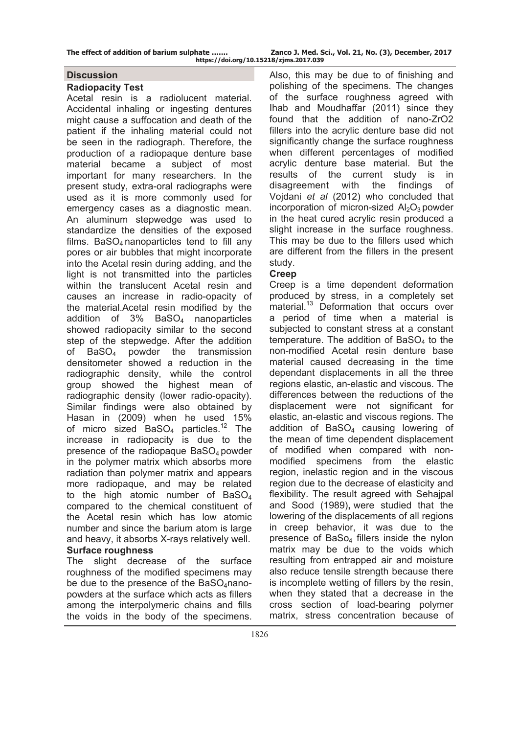## **Discussion**

#### **Radiopacity Test**

Acetal resin is a radiolucent material. Accidental inhaling or ingesting dentures might cause a suffocation and death of the patient if the inhaling material could not be seen in the radiograph. Therefore, the production of a radiopaque denture base material became a subject of most important for many researchers. In the present study, extra-oral radiographs were used as it is more commonly used for emergency cases as a diagnostic mean. An aluminum stepwedge was used to standardize the densities of the exposed films.  $BaSO<sub>4</sub>$  nanoparticles tend to fill any pores or air bubbles that might incorporate into the Acetal resin during adding, and the light is not transmitted into the particles within the translucent Acetal resin and causes an increase in radio-opacity of the material.Acetal resin modified by the addition of 3% BaSO4 nanoparticles showed radiopacity similar to the second step of the stepwedge. After the addition of BaSO4 powder the transmission densitometer showed a reduction in the radiographic density, while the control group showed the highest mean of radiographic density (lower radio-opacity). Similar findings were also obtained by Hasan in (2009) when he used 15% of micro sized BaSO<sub>4</sub> particles.<sup>12</sup> The increase in radiopacity is due to the presence of the radiopaque  $BaSO<sub>4</sub>$  powder in the polymer matrix which absorbs more radiation than polymer matrix and appears more radiopaque, and may be related to the high atomic number of  $BaSO<sub>4</sub>$ compared to the chemical constituent of the Acetal resin which has low atomic number and since the barium atom is large and heavy, it absorbs X-rays relatively well. **Surface roughness** 

The slight decrease of the surface roughness of the modified specimens may be due to the presence of the Ba $SO_4$ nanopowders at the surface which acts as fillers among the interpolymeric chains and fills the voids in the body of the specimens.

Also, this may be due to of finishing and polishing of the specimens. The changes of the surface roughness agreed with Ihab and Moudhaffar (2011) since they found that the addition of nano-ZrO2 fillers into the acrylic denture base did not significantly change the surface roughness when different percentages of modified acrylic denture base material. But the results of the current study is in disagreement with the findings of Vojdani *et al* (2012) who concluded that incorporation of micron-sized  $Al_2O_3$  powder in the heat cured acrylic resin produced a slight increase in the surface roughness. This may be due to the fillers used which are different from the fillers in the present study.

### **Creep**

Creep is a time dependent deformation produced by stress, in a completely set material.<sup>13</sup> Deformation that occurs over a period of time when a material is subjected to constant stress at a constant temperature. The addition of  $BaSO<sub>4</sub>$  to the non-modified Acetal resin denture base material caused decreasing in the time dependant displacements in all the three regions elastic, an-elastic and viscous. The differences between the reductions of the displacement were not significant for elastic, an-elastic and viscous regions. The addition of  $BaSO<sub>4</sub>$  causing lowering of the mean of time dependent displacement of modified when compared with nonmodified specimens from the elastic region, inelastic region and in the viscous region due to the decrease of elasticity and flexibility. The result agreed with Sehajpal and Sood (1989)**,** were studied that the lowering of the displacements of all regions in creep behavior, it was due to the presence of BaSo<sub>4</sub> fillers inside the nylon matrix may be due to the voids which resulting from entrapped air and moisture also reduce tensile strength because there is incomplete wetting of fillers by the resin, when they stated that a decrease in the cross section of load-bearing polymer matrix, stress concentration because of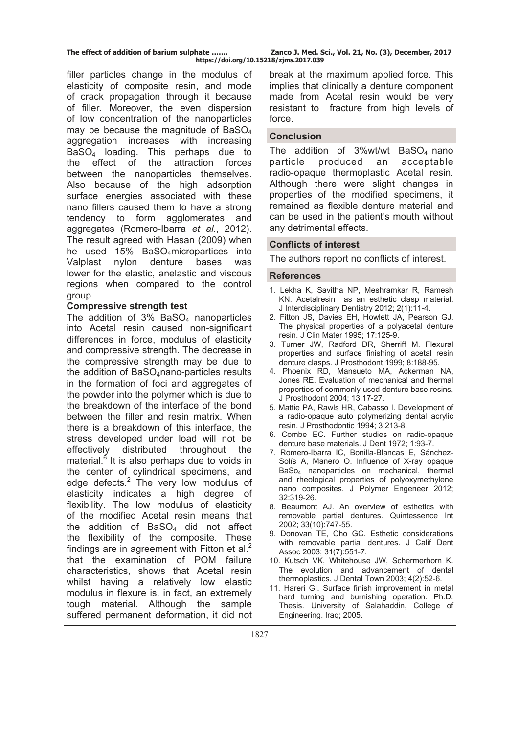filler particles change in the modulus of elasticity of composite resin, and mode of crack propagation through it because of filler. Moreover, the even dispersion of low concentration of the nanoparticles may be because the magnitude of  $BaSO<sub>4</sub>$ aggregation increases with increasing BaSO4 loading. This perhaps due to the effect of the attraction forces between the nanoparticles themselves. Also because of the high adsorption surface energies associated with these nano fillers caused them to have a strong tendency to form agglomerates and aggregates (Romero-Ibarra *et al*., 2012). The result agreed with Hasan (2009) when he used 15% BaSO4micropartices into Valplast nylon denture bases was lower for the elastic, anelastic and viscous regions when compared to the control group.

### **Compressive strength test**

The addition of  $3\%$  BaSO<sub>4</sub> nanoparticles into Acetal resin caused non-significant differences in force, modulus of elasticity and compressive strength. The decrease in the compressive strength may be due to the addition of BaSO<sub>4</sub>nano-particles results in the formation of foci and aggregates of the powder into the polymer which is due to the breakdown of the interface of the bond between the filler and resin matrix. When there is a breakdown of this interface, the stress developed under load will not be effectively distributed throughout the material.<sup>6</sup> It is also perhaps due to voids in the center of cylindrical specimens, and edge defects. $2$  The very low modulus of elasticity indicates a high degree of flexibility. The low modulus of elasticity of the modified Acetal resin means that the addition of  $BaSO<sub>4</sub>$  did not affect the flexibility of the composite. These findings are in agreement with Fitton et al. $<sup>2</sup>$ </sup> that the examination of POM failure characteristics, shows that Acetal resin whilst having a relatively low elastic modulus in flexure is, in fact, an extremely tough material. Although the sample suffered permanent deformation, it did not

break at the maximum applied force. This implies that clinically a denture component made from Acetal resin would be very resistant to fracture from high levels of force.

#### **Conclusion**

The addition of  $3\%$  wt/wt BaSO<sub>4</sub> nano particle produced an acceptable radio-opaque thermoplastic Acetal resin. Although there were slight changes in properties of the modified specimens, it remained as flexible denture material and can be used in the patient's mouth without any detrimental effects.

## **Conflicts of interest**

The authors report no conflicts of interest.

#### **References**

- 1. Lekha K, Savitha NP, Meshramkar R, Ramesh KN. Acetalresin as an esthetic clasp material. J Interdisciplinary Dentistry 2012; 2(1):11-4.
- 2. Fitton JS, Davies EH, Howlett JA, Pearson GJ. The physical properties of a polyacetal denture resin. J Clin Mater 1995; 17:125-9.
- 3. Turner JW, Radford DR, Sherriff M. Flexural properties and surface finishing of acetal resin denture clasps. J Prosthodont 1999; 8:188-95.
- 4. Phoenix RD, Mansueto MA, Ackerman NA, Jones RE. Evaluation of mechanical and thermal properties of commonly used denture base resins. J Prosthodont 2004; 13:17-27.
- 5. Mattie PA, Rawls HR, Cabasso I. Development of a radio-opaque auto polymerizing dental acrylic resin. J Prosthodontic 1994; 3:213-8.
- 6. Combe EC. Further studies on radio-opaque denture base materials. J Dent 1972; 1:93-7.
- 7. Romero-Ibarra IC, Bonilla-Blancas E, Sánchez-Solís A, Manero O. Influence of X-ray opaque BaSo4 nanoparticles on mechanical, thermal and rheological properties of polyoxymethylene nano composites. J Polymer Engeneer 2012; 32:319-26.
- 8. Beaumont AJ. An overview of esthetics with removable partial dentures. Quintessence Int 2002; 33(10):747-55.
- 9. Donovan TE, Cho GC. Esthetic considerations with removable partial dentures. J Calif Dent Assoc 2003; 31(7):551-7.
- 10. Kutsch VK, Whitehouse JW, Schermerhorn K. The evolution and advancement of dental thermoplastics. J Dental Town 2003; 4(2):52-6.
- 11. Hareri GI. Surface finish improvement in metal hard turning and burnishing operation. Ph.D. Thesis. University of Salahaddin, College of Engineering. Iraq; 2005.